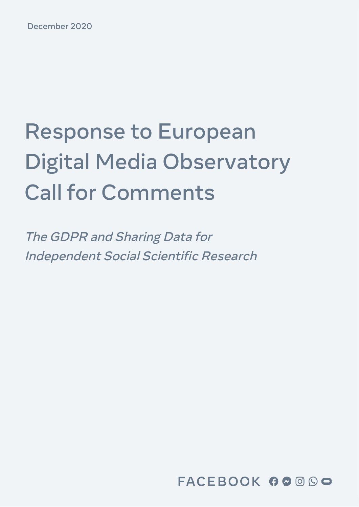December 2020

# Response to European Digital Media Observatory Call for Comments

The GDPR and [Sharing](#page-5-0) Data for [Independent](#page-5-0) Social Scientific Research

FACEBOOK 00000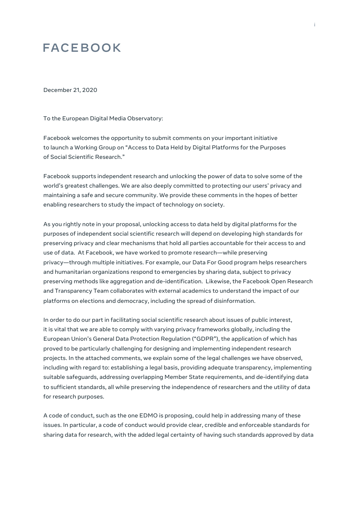# **FACEBOOK**

December 21, 2020

To the European Digital Media Observatory:

Facebook welcomes the opportunity to submit comments on your important initiative to launch a Working Group on "Access to Data Held by Digital Platforms for the Purposes of Social Scientific Research."

Facebook supports independent research and unlocking the power of data to solve some of the world's greatest challenges. We are also deeply committed to protecting our users' privacy and maintaining a safe and secure community. We provide these comments in the hopes of better enabling researchers to study the impact of technology on society.

As you rightly note in your proposal, unlocking access to data held by digital platforms for the purposes of independent social scientific research will depend on developing high standards for preserving privacy and clear mechanisms that hold all parties accountable for their access to and use of data. At Facebook, we have worked to promote research—while preserving privacy—through multiple initiatives. For example, our Data For Good program helps researchers and humanitarian organizations respond to emergencies by sharing data, subject to privacy preserving methods like aggregation and de-identification. Likewise, the Facebook Open Research and Transparency Team collaborates with external academics to understand the impact of our platforms on elections and democracy, including the spread of disinformation.

In order to do our part in facilitating social scientific research about issues of public interest, it is vital that we are able to comply with varying privacy frameworks globally, including the European Union's General Data Protection Regulation ("GDPR"), the application of which has proved to be particularly challenging for designing and implementing independent research projects. In the attached comments, we explain some of the legal challenges we have observed, including with regard to: establishing a legal basis, providing adequate transparency, implementing suitable safeguards, addressing overlapping Member State requirements, and de-identifying data to sufficient standards, all while preserving the independence of researchers and the utility of data for research purposes.

A code of conduct, such as the one EDMO is proposing, could help in addressing many of these issues. In particular, a code of conduct would provide clear, credible and enforceable standards for sharing data for research, with the added legal certainty of having such standards approved by data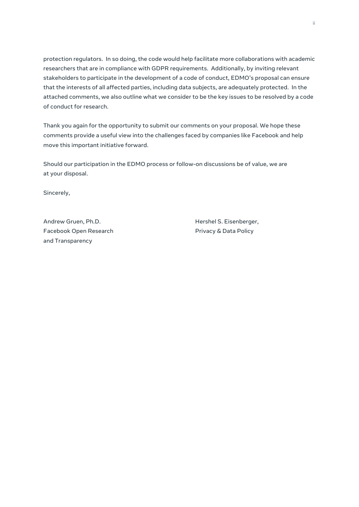protection regulators. In so doing, the code would help facilitate more collaborations with academic researchers that are in compliance with GDPR requirements. Additionally, by inviting relevant stakeholders to participate in the development of a code of conduct, EDMO's proposal can ensure that the interests of all affected parties, including data subjects, are adequately protected. In the attached comments, we also outline what we consider to be the key issues to be resolved by a code of conduct for research.

Thank you again for the opportunity to submit our comments on your proposal. We hope these comments provide a useful view into the challenges faced by companies like Facebook and help move this important initiative forward.

Should our participation in the EDMO process or follow-on discussions be of value, we are at your disposal.

Sincerely,

Andrew Gruen, Ph.D. **Hershel S. Eisenberger,** Eisenberger, Facebook Open Research **Privacy & Data Policy** and Transparency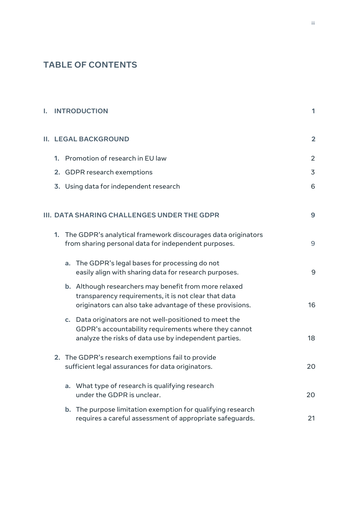### **TABLE OF CONTENTS**

| I. | <b>INTRODUCTION</b>                         |                                                                                                                         |                                                                                                                                                                           |                |  |  |
|----|---------------------------------------------|-------------------------------------------------------------------------------------------------------------------------|---------------------------------------------------------------------------------------------------------------------------------------------------------------------------|----------------|--|--|
|    | <b>II. LEGAL BACKGROUND</b>                 |                                                                                                                         |                                                                                                                                                                           |                |  |  |
|    |                                             |                                                                                                                         | 1. Promotion of research in EU law                                                                                                                                        | $\overline{2}$ |  |  |
|    |                                             | 2. GDPR research exemptions                                                                                             |                                                                                                                                                                           | 3              |  |  |
|    | 3. Using data for independent research      | 6                                                                                                                       |                                                                                                                                                                           |                |  |  |
|    | III. DATA SHARING CHALLENGES UNDER THE GDPR |                                                                                                                         |                                                                                                                                                                           |                |  |  |
|    |                                             | 1. The GDPR's analytical framework discourages data originators<br>from sharing personal data for independent purposes. |                                                                                                                                                                           | 9              |  |  |
|    |                                             | a.                                                                                                                      | The GDPR's legal bases for processing do not<br>easily align with sharing data for research purposes.                                                                     | 9              |  |  |
|    |                                             |                                                                                                                         | b. Although researchers may benefit from more relaxed<br>transparency requirements, it is not clear that data<br>originators can also take advantage of these provisions. | 16             |  |  |
|    |                                             |                                                                                                                         | c. Data originators are not well-positioned to meet the<br>GDPR's accountability requirements where they cannot<br>analyze the risks of data use by independent parties.  | 18             |  |  |
|    |                                             |                                                                                                                         | 2. The GDPR's research exemptions fail to provide<br>sufficient legal assurances for data originators.                                                                    | 20             |  |  |
|    |                                             | a.                                                                                                                      | What type of research is qualifying research<br>under the GDPR is unclear.                                                                                                | 20             |  |  |
|    |                                             |                                                                                                                         | b. The purpose limitation exemption for qualifying research<br>requires a careful assessment of appropriate safeguards.                                                   | 21             |  |  |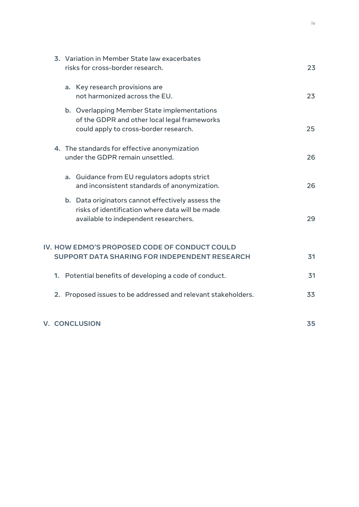|                                                                                                |  | 3. Variation in Member State law exacerbates<br>risks for cross-border research. |                                                                                                                                               |    |  |  |
|------------------------------------------------------------------------------------------------|--|----------------------------------------------------------------------------------|-----------------------------------------------------------------------------------------------------------------------------------------------|----|--|--|
|                                                                                                |  |                                                                                  | a. Key research provisions are<br>not harmonized across the EU.                                                                               | 23 |  |  |
|                                                                                                |  |                                                                                  | b. Overlapping Member State implementations<br>of the GDPR and other local legal frameworks<br>could apply to cross-border research.          | 25 |  |  |
|                                                                                                |  | 4. The standards for effective anonymization<br>under the GDPR remain unsettled. |                                                                                                                                               | 26 |  |  |
|                                                                                                |  |                                                                                  | a. Guidance from EU regulators adopts strict<br>and inconsistent standards of anonymization.                                                  | 26 |  |  |
|                                                                                                |  |                                                                                  | b. Data originators cannot effectively assess the<br>risks of identification where data will be made<br>available to independent researchers. | 29 |  |  |
| IV. HOW EDMO'S PROPOSED CODE OF CONDUCT COULD<br>SUPPORT DATA SHARING FOR INDEPENDENT RESEARCH |  |                                                                                  |                                                                                                                                               |    |  |  |
|                                                                                                |  |                                                                                  | 1. Potential benefits of developing a code of conduct.                                                                                        | 31 |  |  |
|                                                                                                |  |                                                                                  | 2. Proposed issues to be addressed and relevant stakeholders.                                                                                 | 33 |  |  |
|                                                                                                |  |                                                                                  | <b>V. CONCLUSION</b>                                                                                                                          | 35 |  |  |

iv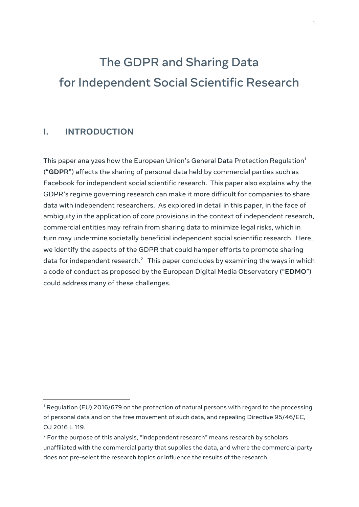# <span id="page-5-0"></span>The GDPR and Sharing Data for Independent Social Scientific Research

#### <span id="page-5-1"></span>**I. INTRODUCTION**

This paper analyzes how the European Union's General Data Protection Regulation $^{\rm 1}$ ("**GDPR**") affects the sharing of personal data held by commercial parties such as Facebook for independent social scientific research. This paper also explains why the GDPR's regime governing research can make it more difficult for companies to share data with independent researchers. As explored in detail in this paper, in the face of ambiguity in the application of core provisions in the context of independent research, commercial entities may refrain from sharing data to minimize legal risks, which in turn may undermine societally beneficial independent social scientific research. Here, we identify the aspects of the GDPR that could hamper efforts to promote sharing data for independent research. $^2$  This paper concludes by examining the ways in which a code of conduct as proposed by the European Digital Media Observatory ("**EDMO**") could address many of these challenges.

<sup>&</sup>lt;sup>1</sup> Regulation (EU) 2016/679 on the protection of natural persons with regard to the processing of personal data and on the free movement of such data, and repealing Directive 95/46/EC, OJ 2016 L 119.

 $2$  For the purpose of this analysis, "independent research" means research by scholars unaffiliated with the commercial party that supplies the data, and where the commercial party does not pre-select the research topics or influence the results of the research.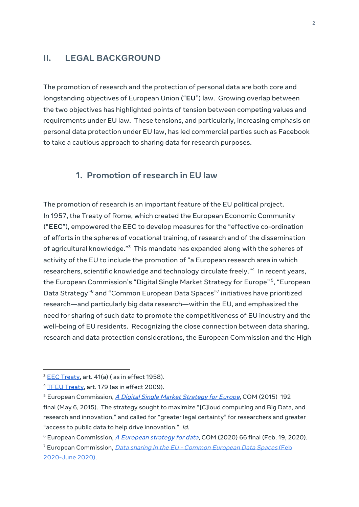#### <span id="page-6-0"></span>**II. LEGAL BACKGROUND**

The promotion of research and the protection of personal data are both core and longstanding objectives of European Union ("**EU**") law. Growing overlap between the two objectives has highlighted points of tension between competing values and requirements under EU law. These tensions, and particularly, increasing emphasis on personal data protection under EU law, has led commercial parties such as Facebook to take a cautious approach to sharing data for research purposes.

#### <span id="page-6-1"></span>**1. Promotion of research in EU law**

The promotion of research is an important feature of the EU political project. In 1957, the Treaty of Rome, which created the European Economic Community ("**EEC**"), empowered the EEC to develop measures for the "effective co-ordination of efforts in the spheres of vocational training, of research and of the dissemination of agricultural knowledge." $^{\rm 3}$  This mandate has expanded along with the spheres of activity of the EU to include the promotion of "a European research area in which researchers, scientific knowledge and technology circulate freely." 4 In recent years, the European Commission's "Digital Single Market Strategy for Europe" <sup>5</sup>, "European Data Strategy"<sup>6</sup> and "Common European Data Spaces"<sup>7</sup> initiatives have prioritized research—and particularly big data research—within the EU, and emphasized the need for sharing of such data to promote the competitiveness of EU industry and the well-being of EU residents. Recognizing the close connection between data sharing, research and data protection considerations, the European Commission and the High

<sup>&</sup>lt;sup>3</sup> EEC [Treaty,](https://ec.europa.eu/archives/emu_history/documents/treaties/rometreaty2.pdf) art. 41(a) (as in effect 1958).

<sup>&</sup>lt;sup>4</sup> TFEU [Treaty](https://eur-lex.europa.eu/legal-content/EN/TXT/?uri=celex%3A12012E%2FTXT), art. 179 (as in effect 2009).

<sup>&</sup>lt;sup>5</sup> European Commission, *A Digital Single Market [Strategy](https://eur-lex.europa.eu/legal-content/EN/TXT/HTML/?uri=CELEX:52015DC0192) for Europe*, COM (2015) 192 final (May 6, 2015). The strategy sought to maximize "[C]loud computing and Big Data, and research and innovation," and called for "greater legal certainty" for researchers and greater "access to public data to help drive innovation." Id.

 $6$  [European](https://ec.europa.eu/info/sites/info/files/communication-european-strategy-data-19feb2020_en.pdf) Commission,  $\overline{A}$  European strategy for data, COM (2020) 66 final (Feb. 19, 2020).

<sup>&</sup>lt;sup>7</sup> [European](https://ec.europa.eu/info/law/better-regulation/have-your-say/initiatives/12491-Legislative-framework-for-the-governance-of-common-European-data-spaces) Commission, *Data sharing in the EU - Common European Data Spaces* (Feb 2020-June 2020).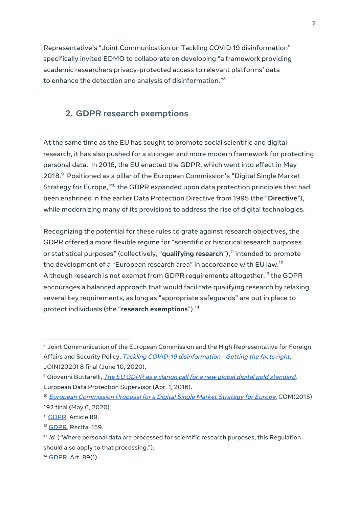Representative's "Joint Communication on Tackling COVID 19 disinformation" specifically invited EDMO to collaborate on developing "a framework providing academic researchers privacy-protected access to relevant platforms' data to enhance the detection and analysis of disinformation." 8

#### <span id="page-7-0"></span>**2. GDPR research exemptions**

At the same time as the EU has sought to promote social scientific and digital research, it has also pushed for a stronger and more modern framework for protecting personal data. In 2016, the EU enacted the GDPR, which went into effect in May 2018. <sup>9</sup> Positioned as a pillar of the European Commission's "Digital Single Market Strategy for Europe,"<sup>10</sup> the GDPR expanded upon data protection principles that had been enshrined in the earlier Data Protection Directive from 1995 (the "**Directive**"), while modernizing many of its provisions to address the rise of digital technologies.

Recognizing the potential for these rules to grate against research objectives, the GDPR offered a more flexible regime for "scientific or historical research purposes or statistical purposes" (collectively, "**qualifying research**"), 11 intended to promote the development of a "European research area" in accordance with EU law. $^{\rm 12}$ Although research is not exempt from GDPR requirements altogether,<sup>13</sup> the GDPR encourages a balanced approach that would facilitate qualifying research by relaxing several key requirements, as long as "appropriate safeguards" are put in place to protect individuals (the "**research exemptions**"). 14

<sup>&</sup>lt;sup>8</sup> Joint Communication of the European Commission and the High Representative for Foreign Affairs and Security Policy, Tackling COVID-19 [disinformation](https://eur-lex.europa.eu/legal-content/EN/TXT/PDF/?uri=CELEX:52020JC0008&from=EN) - Getting the facts right. JOIN(2020) 8 final (June 10, 2020).

<sup>&</sup>lt;sup>9</sup> Giovanni Buttarelli, *The EU GDPR as a clarion call for a new global digital gold [standard](https://edps.europa.eu/press-publications/press-news/blog/eu-gdpr-clarion-call-new-global-digital-gold-standard_fr)*, European Data Protection Supervisor (Apr. 1, 2016).

<sup>&</sup>lt;sup>10</sup> European [Commission](https://eur-lex.europa.eu/TodayOJ/) P[r](https://eur-lex.europa.eu/TodayOJ/)oposal for a Digital Single Market [Strategy](https://eur-lex.europa.eu/TodayOJ/) for Europe, COM(2015) 192 final (May 6, 2020).

<sup>&</sup>lt;sup>11</sup> [GDPR](https://gdpr-info.eu/chapter-9/), Article 89.

<sup>&</sup>lt;sup>12</sup> [GDPR](https://gdpr-info.eu/recitals/no-159/), Recital 159.

<sup>&</sup>lt;sup>13</sup> Id. ("Where personal data are processed for scientific research purposes, this Regulation should also apply to that processing.").

<sup>&</sup>lt;sup>14</sup> [GDPR](https://gdpr-info.eu/), Art. 89(1).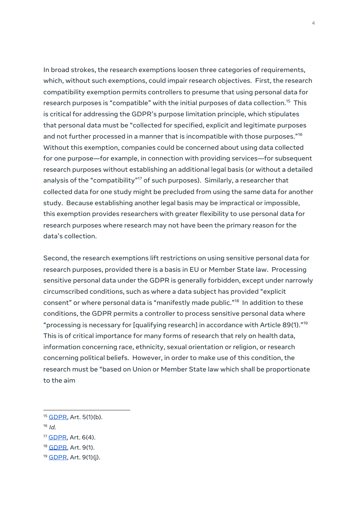In broad strokes, the research exemptions loosen three categories of requirements, which, without such exemptions, could impair research objectives. First, the research compatibility exemption permits controllers to presume that using personal data for research purposes is "compatible" with the initial purposes of data collection. <sup>15</sup> This is critical for addressing the GDPR's purpose limitation principle, which stipulates that personal data must be "collected for specified, explicit and legitimate purposes and not further processed in a manner that is incompatible with those purposes." $^{\scriptsize\textsf{10}}$ Without this exemption, companies could be concerned about using data collected for one purpose—for example, in connection with providing services—for subsequent research purposes without establishing an additional legal basis (or without a detailed analysis of the "compatibility" <sup>17</sup> of such purposes). Similarly, a researcher that collected data for one study might be precluded from using the same data for another study. Because establishing another legal basis may be impractical or impossible, this exemption provides researchers with greater flexibility to use personal data for research purposes where research may not have been the primary reason for the data's collection.

Second, the research exemptions lift restrictions on using sensitive personal data for research purposes, provided there is a basis in EU or Member State law. Processing sensitive personal data under the GDPR is generally forbidden, except under narrowly circumscribed conditions, such as where a data subject has provided "explicit consent" or where personal data is "manifestly made public." 18 In addition to these conditions, the GDPR permits a controller to process sensitive personal data where "processing is necessary for [qualifying research] in accordance with Article 89(1)." $^{\rm 19}$ This is of critical importance for many forms of research that rely on health data, information concerning race, ethnicity, sexual orientation or religion, or research concerning political beliefs. However, in order to make use of this condition, the research must be "based on Union or Member State law which shall be proportionate to the aim

 $16$  Id.

<sup>18</sup> [GDPR](https://gdpr-info.eu/), Art. 9(1).

<sup>&</sup>lt;sup>15</sup> [GDPR](https://gdpr-info.eu/), Art. 5(1)(b).

<sup>17</sup> [GDPR,](https://gdpr-info.eu/) Art. 6(4).

<sup>&</sup>lt;sup>19</sup> [GDPR](https://gdpr-info.eu/), Art. 9(1)(j).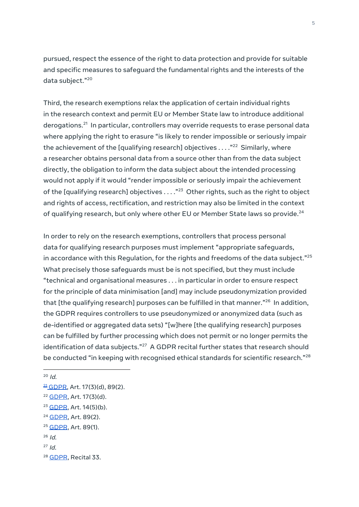pursued, respect the essence of the right to data protection and provide for suitable and specific measures to safeguard the fundamental rights and the interests of the data subject." 20

Third, the research exemptions relax the application of certain individual rights in the research context and permit EU or Member State law to introduce additional derogations.<sup>21</sup> In particular, controllers may override requests to erase personal data where applying the right to erasure "is likely to render impossible or seriously impair the achievement of the [qualifying research] objectives . . . ." <sup>22</sup> Similarly, where a researcher obtains personal data from a source other than from the data subject directly, the obligation to inform the data subject about the intended processing would not apply if it would "render impossible or seriously impair the achievement of the [qualifying research] objectives  $\ldots$ ."<sup>23</sup> Other rights, such as the right to object and rights of access, rectification, and restriction may also be limited in the context of qualifying research, but only where other EU or Member State laws so provide.<sup>24</sup>

In order to rely on the research exemptions, controllers that process personal data for qualifying research purposes must implement "appropriate safeguards, in accordance with this Regulation, for the rights and freedoms of the data subject." $^{25}$ What precisely those safeguards must be is not specified, but they must include "technical and organisational measures . . . in particular in order to ensure respect for the principle of data minimisation [and] may include pseudonymization provided that [the qualifying research] purposes can be fulfilled in that manner." 26 In addition, the GDPR requires controllers to use pseudonymized or anonymized data (such as de-identified or aggregated data sets) "[w]here [the qualifying research] purposes can be fulfilled by further processing which does not permit or no longer permits the identification of data subjects." <sup>27</sup> A GDPR recital further states that research should be conducted "in keeping with recognised ethical standards for scientific research." $^{\rm 28}$ 

<sup>24</sup> [GDPR,](https://gdpr-info.eu/art-89-gdpr/) Art. 89(2).

 $26$  Id.

 $20$  Id.

 $\frac{21}{2}$  [GDPR](https://gdpr-info.eu/art-17-gdpr/), Art. 17(3)(d), 89(2).

<sup>&</sup>lt;sup>22</sup> [GDPR](https://gdpr-info.eu/art-17-gdpr/), Art. 17(3)(d).

 $23$  [GDPR,](https://gdpr-info.eu/art-14-gdpr/) Art. 14(5)(b).

<sup>&</sup>lt;sup>25</sup> [GDPR](https://gdpr-info.eu/art-89-gdpr/), Art. 89(1).

 $27$  Id.

<sup>&</sup>lt;sup>28</sup> [GDPR,](https://gdpr-info.eu/recitals/no-33/) Recital 33.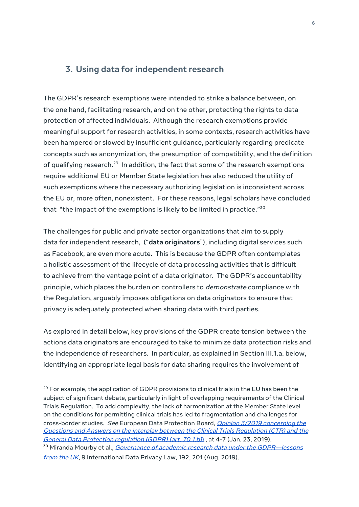#### <span id="page-10-0"></span>**3. Using data for independent research**

The GDPR's research exemptions were intended to strike a balance between, on the one hand, facilitating research, and on the other, protecting the rights to data protection of affected individuals. Although the research exemptions provide meaningful support for research activities, in some contexts, research activities have been hampered or slowed by insufficient guidance, particularly regarding predicate concepts such as anonymization, the presumption of compatibility, and the definition of qualifying research.<sup>29</sup> In addition, the fact that some of the research exemptions require additional EU or Member State legislation has also reduced the utility of such exemptions where the necessary authorizing legislation is inconsistent across the EU or, more often, nonexistent. For these reasons, legal scholars have concluded that "the impact of the exemptions is likely to be limited in practice." $^{\rm 30}$ 

The challenges for public and private sector organizations that aim to supply data for independent research, ("**data originators**"), including digital services such as Facebook, are even more acute. This is because the GDPR often contemplates a holistic assessment of the lifecycle of data processing activities that is difficult to achieve from the vantage point of a data originator. The GDPR's accountability principle, which places the burden on controllers to *demonstrate* compliance with the Regulation, arguably imposes obligations on data originators to ensure that privacy is adequately protected when sharing data with third parties.

As explored in detail below, key provisions of the GDPR create tension between the actions data originators are encouraged to take to minimize data protection risks and the independence of researchers. In particular, as explained in Section III.1.a. below, identifying an appropriate legal basis for data sharing requires the involvement of

[from](https://doi.org/10.1093/idpl/ipz010) the UK, 9 International Data Privacy Law, 192, 201 (Aug. 2019).

 $29$  For example, the application of GDPR provisions to clinical trials in the EU has been the subject of significant debate, particularly in light of overlapping requirements of the Clinical Trials Regulation. To add complexity, the lack of harmonization at the Member State level on the conditions for permitting clinical trials has led to fragmentation and challenges for cross-border studies. See European Data Protection Board, Opinion 3/2019 [concerning](https://edpb.europa.eu/sites/edpb/files/files/file1/edpb_opinionctrq_a_final_en.pdf) the Questions and Answers on the interplay between the Clinical Trials [Regulation](https://edpb.europa.eu/sites/edpb/files/files/file1/edpb_opinionctrq_a_final_en.pdf) (CTR) and the General Data Protection [regulation](https://edpb.europa.eu/sites/edpb/files/files/file1/edpb_opinionctrq_a_final_en.pdf) (GDPR[\)](https://edpb.europa.eu/sites/edpb/files/files/file1/edpb_opinionctrq_a_final_en.pdf) (art. 70.1.b)), at 4-7 (Jan. 23, 2019). <sup>30</sup> Miranda Mourby et al., *Governance of academic research data under the [GDPR—lessons](https://doi.org/10.1093/idpl/ipz010)*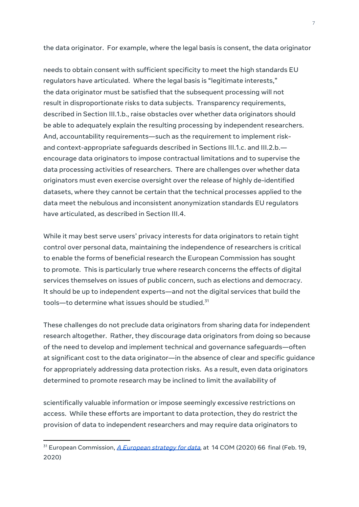the data originator. For example, where the legal basis is consent, the data originator

needs to obtain consent with sufficient specificity to meet the high standards EU regulators have articulated. Where the legal basis is "legitimate interests," the data originator must be satisfied that the subsequent processing will not result in disproportionate risks to data subjects. Transparency requirements, described in Section III.1.b., raise obstacles over whether data originators should be able to adequately explain the resulting processing by independent researchers. And, accountability requirements—such as the requirement to implement riskand context-appropriate safeguards described in Sections III.1.c. and III.2.b. encourage data originators to impose contractual limitations and to supervise the data processing activities of researchers. There are challenges over whether data originators must even exercise oversight over the release of highly de-identified datasets, where they cannot be certain that the technical processes applied to the data meet the nebulous and inconsistent anonymization standards EU regulators have articulated, as described in Section III.4.

While it may best serve users' privacy interests for data originators to retain tight control over personal data, maintaining the independence of researchers is critical to enable the forms of beneficial research the European Commission has sought to promote. This is particularly true where research concerns the effects of digital services themselves on issues of public concern, such as elections and democracy. It should be up to independent experts—and not the digital services that build the tools—to determine what issues should be studied. $^{\rm 31}$ 

These challenges do not preclude data originators from sharing data for independent research altogether. Rather, they discourage data originators from doing so because of the need to develop and implement technical and governance safeguards—often at significant cost to the data originator—in the absence of clear and specific guidance for appropriately addressing data protection risks. As a result, even data originators determined to promote research may be inclined to limit the availability of

scientifically valuable information or impose seemingly excessive restrictions on access. While these efforts are important to data protection, they do restrict the provision of data to independent researchers and may require data originators to

<sup>&</sup>lt;sup>31</sup> [European](https://ec.europa.eu/info/sites/info/files/communication-european-strategy-data-19feb2020_en.pdf) Commission, *A European strategy for data*, at 14 COM (2020) 66 final (Feb. 19, 2020)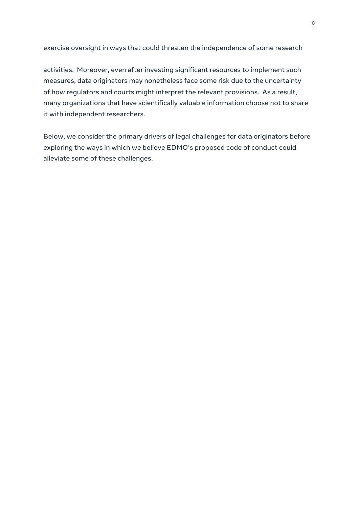exercise oversight in ways that could threaten the independence of some research

activities. Moreover, even after investing significant resources to implement such measures, data originators may nonetheless face some risk due to the uncertainty of how regulators and courts might interpret the relevant provisions. As a result, many organizations that have scientifically valuable information choose not to share it with independent researchers.

Below, we consider the primary drivers of legal challenges for data originators before exploring the ways in which we believe EDMO's proposed code of conduct could alleviate some of these challenges.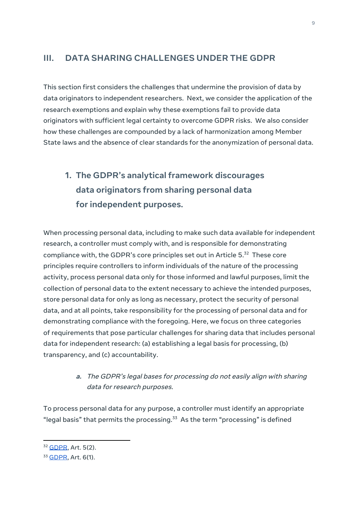#### <span id="page-13-0"></span>**III. DATA SHARING CHALLENGES UNDER THE GDPR**

This section first considers the challenges that undermine the provision of data by data originators to independent researchers. Next, we consider the application of the research exemptions and explain why these exemptions fail to provide data originators with sufficient legal certainty to overcome GDPR risks. We also consider how these challenges are compounded by a lack of harmonization among Member State laws and the absence of clear standards for the anonymization of personal data.

# <span id="page-13-1"></span>**1. The GDPR's analytical framework discourages data originators from sharing personal data for independent purposes.**

When processing personal data, including to make such data available for independent research, a controller must comply with, and is responsible for demonstrating compliance with, the GDPR's core principles set out in Article  $5.^{32}$  These core principles require controllers to inform individuals of the nature of the processing activity, process personal data only for those informed and lawful purposes, limit the collection of personal data to the extent necessary to achieve the intended purposes, store personal data for only as long as necessary, protect the security of personal data, and at all points, take responsibility for the processing of personal data and for demonstrating compliance with the foregoing. Here, we focus on three categories of requirements that pose particular challenges for sharing data that includes personal data for independent research: (a) establishing a legal basis for processing, (b) transparency, and (c) accountability.

#### **a.** The GDPR's legal bases for processing do not easily align with sharing data for research purposes.

<span id="page-13-2"></span>To process personal data for any purpose, a controller must identify an appropriate "legal basis" that permits the processing. $33$  As the term "processing" is defined

<sup>32</sup> [GDPR,](https://gdpr-info.eu/art-5-gdpr/) Art. 5(2).

<sup>33</sup> **GDPR**, Art. 6(1).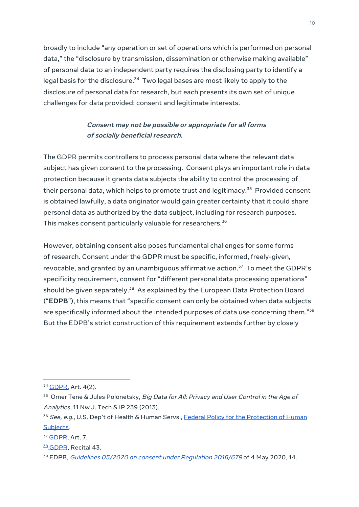broadly to include "any operation or set of operations which is performed on personal data," the "disclosure by transmission, dissemination or otherwise making available" of personal data to an independent party requires the disclosing party to identify a legal basis for the disclosure.<sup>34</sup> Two legal bases are most likely to apply to the disclosure of personal data for research, but each presents its own set of unique challenges for data provided: consent and legitimate interests.

#### **Consent may not be possible or appropriate for all forms of socially beneficial research.**

The GDPR permits controllers to process personal data where the relevant data subject has given consent to the processing. Consent plays an important role in data protection because it grants data subjects the ability to control the processing of their personal data, which helps to promote trust and legitimacy. <sup>35</sup> Provided consent is obtained lawfully, a data originator would gain greater certainty that it could share personal data as authorized by the data subject, including for research purposes. This makes consent particularly valuable for researchers. 36

However, obtaining consent also poses fundamental challenges for some forms of research. Consent under the GDPR must be specific, informed, freely-given, revocable, and granted by an unambiguous affirmative action. <sup>37</sup> To meet the GDPR's specificity requirement, consent for "different personal data processing operations" should be given separately.<sup>38</sup> As explained by the European Data Protection Board ("**EDPB**"), this means that "specific consent can only be obtained when data subjects are specifically informed about the intended purposes of data use concerning them." $^{\rm 39}$ But the EDPB's strict construction of this requirement extends further by closely

<sup>&</sup>lt;sup>34</sup> [GDPR,](https://gdpr-info.eu/art-4-gdpr/) Art. 4(2).

<sup>&</sup>lt;sup>35</sup> Omer Tene & Jules Polonetsky, Big Data for All: Privacy and User Control in the Age of Analytics, 11 Nw J. Tech & IP 239 (2013).

<sup>&</sup>lt;sup>36</sup> See, e.g., U.S. Dep't of Health & Human Servs., **Federal Policy for the [Protection](http://www.hhs.gov/ohrp/humansubjects/commonrule/) of Human** [Subjects.](http://www.hhs.gov/ohrp/humansubjects/commonrule/)

<sup>37</sup> [GDPR,](https://gdpr-info.eu/art-7-gdpr/) Art. 7.

<sup>38</sup> [GDPR](https://gdpr-info.eu/recitals/no-43/), Recital 43.

<sup>&</sup>lt;sup>39</sup> EDPB, *Guidelines 05/2020 on consent under [Regulation](https://edpb.europa.eu/sites/edpb/files/files/file1/edpb_guidelines_202005_consent_en.pdf) 2016/679* of 4 May 2020, 14.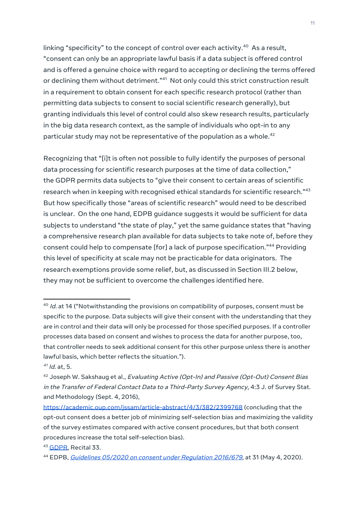linking "specificity" to the concept of control over each activity. $^\mathrm{40}$  As a result, "consent can only be an appropriate lawful basis if a data subject is offered control and is offered a genuine choice with regard to accepting or declining the terms offered or declining them without detriment." <sup>41</sup> Not only could this strict construction result in a requirement to obtain consent for each specific research protocol (rather than permitting data subjects to consent to social scientific research generally), but granting individuals this level of control could also skew research results, particularly in the big data research context, as the sample of individuals who opt-in to any particular study may not be representative of the population as a whole. 42

Recognizing that "[i]t is often not possible to fully identify the purposes of personal data processing for scientific research purposes at the time of data collection," the GDPR permits data subjects to "give their consent to certain areas of scientific research when in keeping with recognised ethical standards for scientific research." $^{\rm 43}$ But how specifically those "areas of scientific research" would need to be described is unclear. On the one hand, EDPB guidance suggests it would be sufficient for data subjects to understand "the state of play," yet the same guidance states that "having a comprehensive research plan available for data subjects to take note of, before they consent could help to compensate [for] a lack of purpose specification." <sup>44</sup> Providing this level of specificity at scale may not be practicable for data originators. The research exemptions provide some relief, but, as discussed in Section III.2 below, they may not be sufficient to overcome the challenges identified here.

 $^{\rm 40}$  Id. at 14 ("Notwithstanding the provisions on compatibility of purposes, consent must be specific to the purpose. Data subjects will give their consent with the understanding that they are in control and their data will only be processed for those specified purposes. If a controller processes data based on consent and wishes to process the data for another purpose, too, that controller needs to seek additional consent for this other purpose unless there is another lawful basis, which better reflects the situation.").

<sup>&</sup>lt;sup>41</sup> Id. at, 5.

<sup>&</sup>lt;sup>42</sup> Joseph W. Sakshaug et al., Evaluating Active (Opt-In) and Passive (Opt-Out) Consent Bias in the Transfer of Federal Contact Data to <sup>a</sup> Third-Party Survey Agency, 4:3 J. of Survey Stat. and Methodology (Sept. 4, 2016),

<https://academic.oup.com/jssam/article-abstract/4/3/382/2399768> (concluding that the opt-out consent does a better job of minimizing self-selection bias and maximizing the validity of the survey estimates compared with active consent procedures, but that both consent procedures increase the total self-selection bias).

<sup>43</sup> [GDPR,](https://gdpr-info.eu/recitals/no-33/) Recital 33.

<sup>44</sup> EDPB, *Guidelines 05/2020 on consent under [Regulation](https://edpb.europa.eu/sites/edpb/files/files/file1/edpb_guidelines_202005_consent_en.pdf) 2016/679*, at 31 (May 4, 2020).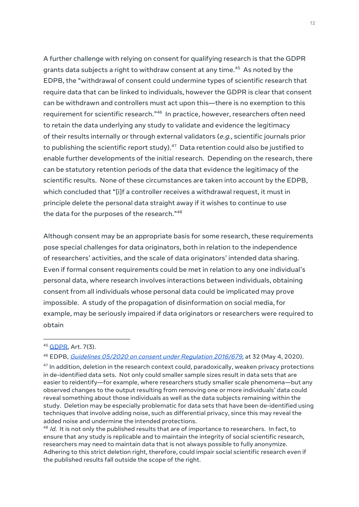A further challenge with relying on consent for qualifying research is that the GDPR grants data subjects a right to withdraw consent at any time. <sup>45</sup> As noted by the EDPB, the "withdrawal of consent could undermine types of scientific research that require data that can be linked to individuals, however the GDPR is clear that consent can be withdrawn and controllers must act upon this—there is no exemption to this requirement for scientific research."<sup>46</sup> In practice, however, researchers often need to retain the data underlying any study to validate and evidence the legitimacy of their results internally or through external validators (e.g., scientific journals prior to publishing the scientific report study). $^{47}$  Data retention could also be justified to enable further developments of the initial research. Depending on the research, there can be statutory retention periods of the data that evidence the legitimacy of the scientific results. None of these circumstances are taken into account by the EDPB, which concluded that "[i]f a controller receives a withdrawal request, it must in principle delete the personal data straight away if it wishes to continue to use the data for the purposes of the research." 48

Although consent may be an appropriate basis for some research, these requirements pose special challenges for data originators, both in relation to the independence of researchers' activities, and the scale of data originators' intended data sharing. Even if formal consent requirements could be met in relation to any one individual's personal data, where research involves interactions between individuals, obtaining consent from all individuals whose personal data could be implicated may prove impossible. A study of the propagation of disinformation on social media, for example, may be seriously impaired if data originators or researchers were required to obtain

 $^{48}$  Id. It is not only the published results that are of importance to researchers. In fact, to ensure that any study is replicable and to maintain the integrity of social scientific research, researchers may need to maintain data that is not always possible to fully anonymize. Adhering to this strict deletion right, therefore, could impair social scientific research even if the published results fall outside the scope of the right.

<sup>45</sup> [GDPR,](https://gdpr-info.eu/art-7-gdpr/) Art. 7(3).

<sup>&</sup>lt;sup>46</sup> EDPB, *Guidelines 05/2020 on consent under [Regulation](https://edpb.europa.eu/sites/edpb/files/files/file1/edpb_guidelines_202005_consent_en.pdf) 2016/679*, at 32 (May 4, 2020).

 $^\mathrm{47}$  In addition, deletion in the research context could, paradoxically, weaken privacy protections in de-identified data sets. Not only could smaller sample sizes result in data sets that are easier to reidentify—for example, where researchers study smaller scale phenomena—but any observed changes to the output resulting from removing one or more individuals' data could reveal something about those individuals as well as the data subjects remaining within the study. Deletion may be especially problematic for data sets that have been de-identified using techniques that involve adding noise, such as differential privacy, since this may reveal the added noise and undermine the intended protections.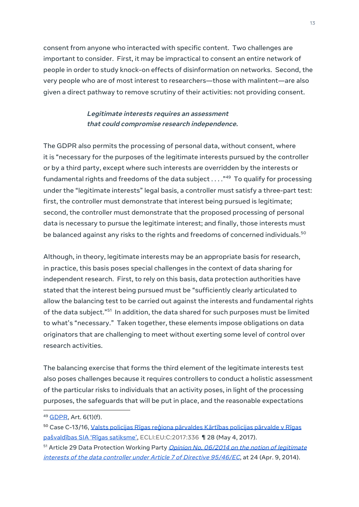consent from anyone who interacted with specific content. Two challenges are important to consider. First, it may be impractical to consent an entire network of people in order to study knock-on effects of disinformation on networks. Second, the very people who are of most interest to researchers—those with malintent—are also given a direct pathway to remove scrutiny of their activities: not providing consent.

#### **Legitimate interests requires an assessment that could compromise research independence.**

The GDPR also permits the processing of personal data, without consent, where it is "necessary for the purposes of the legitimate interests pursued by the controller or by a third party, except where such interests are overridden by the interests or fundamental rights and freedoms of the data subject  $\ldots$ ." $^{49}$  To qualify for processing under the "legitimate interests" legal basis, a controller must satisfy a three-part test: first, the controller must demonstrate that interest being pursued is legitimate; second, the controller must demonstrate that the proposed processing of personal data is necessary to pursue the legitimate interest; and finally, those interests must be balanced against any risks to the rights and freedoms of concerned individuals. $^{\rm 50}$ 

Although, in theory, legitimate interests may be an appropriate basis for research, in practice, this basis poses special challenges in the context of data sharing for independent research. First, to rely on this basis, data protection authorities have stated that the interest being pursued must be "sufficiently clearly articulated to allow the balancing test to be carried out against the interests and fundamental rights of the data subject."<sup>51</sup> In addition, the data shared for such purposes must be limited to what's "necessary." Taken together, these elements impose obligations on data originators that are challenging to meet without exerting some level of control over research activities.

The balancing exercise that forms the third element of the legitimate interests test also poses challenges because it requires controllers to conduct a holistic assessment of the particular risks to individuals that an activity poses, in light of the processing purposes, the safeguards that will be put in place, and the reasonable expectations

<sup>49</sup> [GDPR,](https://gdpr-info.eu/art-6-gdpr/) Art. 6(1)(f).

<sup>50</sup> Case C-13/16, Valsts policijas Rīgas reģiona [pārvaldes](http://curia.europa.eu/juris/document/document_print.jsf?doclang=EN&text=&pageIndex=0&part=1&mode=req&docid=190322&occ=first&dir=&cid=136957) Kārtības policijas pārvalde v Rīgas [pašvaldības](http://curia.europa.eu/juris/document/document_print.jsf?doclang=EN&text=&pageIndex=0&part=1&mode=req&docid=190322&occ=first&dir=&cid=136957) SIA 'Rīgas satiksme', ECLI:EU:C:2017:336 ¶ 28 (May 4, 2017).

<sup>&</sup>lt;sup>51</sup> Article 29 Data Protection Working Party *Opinion No. 06/2014 on the notion of [legitimate](https://ec.europa.eu/justice/article-29/documentation/opinion-recommendation/files/2014/wp217_en.pdf)* interests of the data controller under Article 7 of Directive [95/46/EC](https://ec.europa.eu/justice/article-29/documentation/opinion-recommendation/files/2014/wp217_en.pdf), at 24 (Apr. 9, 2014).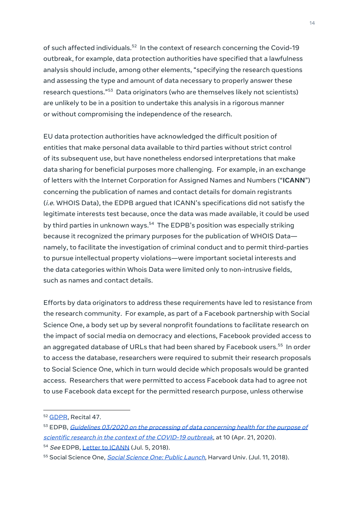of such affected individuals.<sup>52</sup> In the context of research concerning the Covid-19 outbreak, for example, data protection authorities have specified that a lawfulness analysis should include, among other elements, "specifying the research questions and assessing the type and amount of data necessary to properly answer these research questions." <sup>53</sup> Data originators (who are themselves likely not scientists) are unlikely to be in a position to undertake this analysis in a rigorous manner or without compromising the independence of the research.

EU data protection authorities have acknowledged the difficult position of entities that make personal data available to third parties without strict control of its subsequent use, but have nonetheless endorsed interpretations that make data sharing for beneficial purposes more challenging. For example, in an exchange of letters with the Internet Corporation for Assigned Names and Numbers ("**ICANN**") concerning the publication of names and contact details for domain registrants (i.e. WHOIS Data), the EDPB argued that ICANN's specifications did not satisfy the legitimate interests test because, once the data was made available, it could be used by third parties in unknown ways.<sup>54</sup> The EDPB's position was especially striking because it recognized the primary purposes for the publication of WHOIS Data namely, to facilitate the investigation of criminal conduct and to permit third-parties to pursue intellectual property violations—were important societal interests and the data categories within Whois Data were limited only to non-intrusive fields, such as names and contact details.

Efforts by data originators to address these requirements have led to resistance from the research community. For example, as part of a Facebook partnership with Social Science One, a body set up by several nonprofit foundations to facilitate research on the impact of social media on democracy and elections, Facebook provided access to an aggregated database of URLs that had been shared by Facebook users. 55 In order to access the database, researchers were required to submit their research proposals to Social Science One, which in turn would decide which proposals would be granted access. Researchers that were permitted to access Facebook data had to agree not to use Facebook data except for the permitted research purpose, unless otherwise

<sup>52</sup> [GDPR](https://gdpr-info.eu/art-47-gdpr/), Recital 47.

<sup>53</sup> EDPB, Guidelines 03/2020 on the processing of data [concerning](https://edpb.europa.eu/sites/edpb/files/files/file1/edpb_guidelines_202003_healthdatascientificresearchcovid19_en.pdf) health for the purpose of scientific research in the context of the [COVID-19](https://edpb.europa.eu/sites/edpb/files/files/file1/edpb_guidelines_202003_healthdatascientificresearchcovid19_en.pdf) outbreak, at 10 (Apr. 21, 2020).

<sup>54</sup> See EDPB, Letter to [ICANN](https://edpb.europa.eu/sites/edpb/files/files/file1/icann_letter_en.pdf) (Jul. 5, 2018).

<sup>55</sup> Social [Science](https://socialscience.one/blog/social-science-one-public-launch) One, *Social Science One: Public Launch*, Harvard Univ. (Jul. 11, 2018).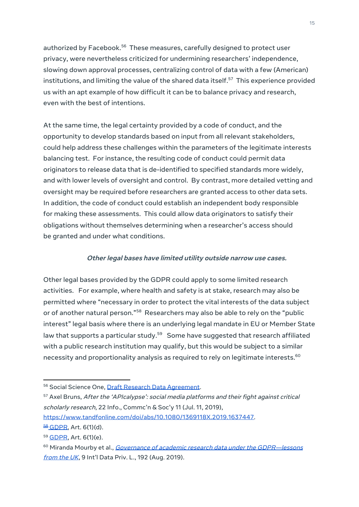authorized by Facebook.<sup>56</sup> These measures, carefully designed to protect user privacy, were nevertheless criticized for undermining researchers' independence, slowing down approval processes, centralizing control of data with a few (American) institutions, and limiting the value of the shared data itself. $^{\mathrm{57}}$  This experience provided us with an apt example of how difficult it can be to balance privacy and research, even with the best of intentions.

At the same time, the legal certainty provided by a code of conduct, and the opportunity to develop standards based on input from all relevant stakeholders, could help address these challenges within the parameters of the legitimate interests balancing test. For instance, the resulting code of conduct could permit data originators to release data that is de-identified to specified standards more widely, and with lower levels of oversight and control. By contrast, more detailed vetting and oversight may be required before researchers are granted access to other data sets. In addition, the code of conduct could establish an independent body responsible for making these assessments. This could allow data originators to satisfy their obligations without themselves determining when a researcher's access should be granted and under what conditions.

#### **Other legal bases have limited utility outside narrow use cases.**

Other legal bases provided by the GDPR could apply to some limited research activities. For example, where health and safety is at stake, research may also be permitted where "necessary in order to protect the vital interests of the data subject or of another natural person." $^{58}$  Researchers may also be able to rely on the "public interest" legal basis where there is an underlying legal mandate in EU or Member State law that supports a particular study.<sup>59</sup> Some have suggested that research affiliated with a public research institution may qualify, but this would be subject to a similar necessity and proportionality analysis as required to rely on legitimate interests. $^{\rm 60}$ 

<sup>56</sup> Social Science One, Draft Research Data [Agreement.](https://socialscience.one/files/socialscienceone/files/fort_non-monetary_rda_with_public_institution_and_developer_terms.pdf)

<sup>57</sup> Axel Bruns, After the 'APIcalypse': social media platforms and their fight against critical scholarly research, 22 Info., Commc'n & Soc'y 11 (Jul. 11, 2019),

[https://www.tandfonline.com/doi/abs/10.1080/1369118X.2019.1637447.](https://www.tandfonline.com/doi/abs/10.1080/1369118X.2019.1637447)

 $58$  [GDPR,](https://gdpr-info.eu/art-6-gdpr/) Art. 6(1)(d).

<sup>59</sup> [GDPR,](https://gdpr-info.eu/art-6-gdpr/) Art. 6(1)(e).

<sup>60</sup> Miranda Mourby et al., Governance of academic research data under the GDPR-lessons [from](https://doi.org/10.1093/idpl/ipz010) the UK, 9 Int'l Data Priv. L., 192 (Aug. 2019).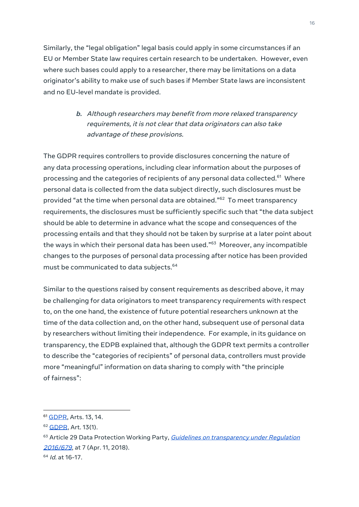Similarly, the "legal obligation" legal basis could apply in some circumstances if an EU or Member State law requires certain research to be undertaken. However, even where such bases could apply to a researcher, there may be limitations on a data originator's ability to make use of such bases if Member State laws are inconsistent and no EU-level mandate is provided.

#### <span id="page-20-0"></span>**b.** Although researchers may benefit from more relaxed transparency requirements, it is not clear that data originators can also take advantage of these provisions.

The GDPR requires controllers to provide disclosures concerning the nature of any data processing operations, including clear information about the purposes of processing and the categories of recipients of any personal data collected.<sup>61</sup> Where personal data is collected from the data subject directly, such disclosures must be provided "at the time when personal data are obtained." <sup>62</sup> To meet transparency requirements, the disclosures must be sufficiently specific such that "the data subject should be able to determine in advance what the scope and consequences of the processing entails and that they should not be taken by surprise at a later point about the ways in which their personal data has been used." <sup>63</sup> Moreover, any incompatible changes to the purposes of personal data processing after notice has been provided must be communicated to data subjects. 64

Similar to the questions raised by consent requirements as described above, it may be challenging for data originators to meet transparency requirements with respect to, on the one hand, the existence of future potential researchers unknown at the time of the data collection and, on the other hand, subsequent use of personal data by researchers without limiting their independence. For example, in its guidance on transparency, the EDPB explained that, although the GDPR text permits a controller to describe the "categories of recipients" of personal data, controllers must provide more "meaningful" information on data sharing to comply with "the principle of fairness":

<sup>&</sup>lt;sup>61</sup> [GDPR](https://gdpr-info.eu/art-13-gdpr/), Arts. 13, 14.

<sup>62</sup> [GDPR](https://gdpr-info.eu/art-13-gdpr/), Art. 13(1).

<sup>63</sup> Article 29 Data Protection Working Party, Guidelines on [transparency](https://ec.europa.eu/newsroom/article29/item-detail.cfm?item_id=622227) under Regulation [2016/679](https://ec.europa.eu/newsroom/article29/item-detail.cfm?item_id=622227), at 7 (Apr. 11, 2018).

<sup>&</sup>lt;sup>64</sup> *Id.* at 16-17.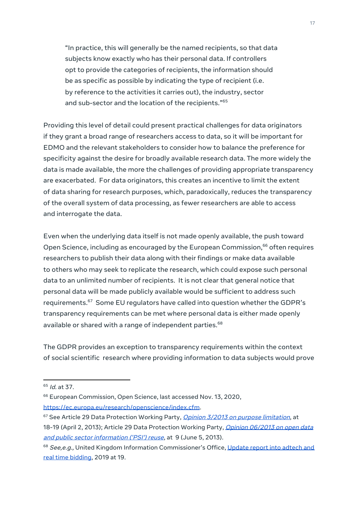"In practice, this will generally be the named recipients, so that data subjects know exactly who has their personal data. If controllers opt to provide the categories of recipients, the information should be as specific as possible by indicating the type of recipient (i.e. by reference to the activities it carries out), the industry, sector and sub-sector and the location of the recipients." 65

Providing this level of detail could present practical challenges for data originators if they grant a broad range of researchers access to data, so it will be important for EDMO and the relevant stakeholders to consider how to balance the preference for specificity against the desire for broadly available research data. The more widely the data is made available, the more the challenges of providing appropriate transparency are exacerbated. For data originators, this creates an incentive to limit the extent of data sharing for research purposes, which, paradoxically, reduces the transparency of the overall system of data processing, as fewer researchers are able to access and interrogate the data.

Even when the underlying data itself is not made openly available, the push toward Open Science, including as encouraged by the European Commission, <sup>66</sup> often requires researchers to publish their data along with their findings or make data available to others who may seek to replicate the research, which could expose such personal data to an unlimited number of recipients. It is not clear that general notice that personal data will be made publicly available would be sufficient to address such requirements. <sup>67</sup> Some EU regulators have called into question whether the GDPR's transparency requirements can be met where personal data is either made openly available or shared with a range of independent parties. 68

The GDPR provides an exception to transparency requirements within the context of social scientific research where providing information to data subjects would prove

<sup>&</sup>lt;sup>65</sup> *Id.* at 37.

<sup>&</sup>lt;sup>66</sup> European Commission, Open Science, last accessed Nov. 13, 2020, [https://ec.europa.eu/research/openscience/index.cfm.](https://ec.europa.eu/research/openscience/index.cfm)

<sup>67</sup> See Article 29 Data Protection Working Party, *Qpinion 3/2013 on purpose limitation*, at 18-19 (April 2, 2013); Article 29 Data Protection Working Party, Opinion [06/2013](https://ec.europa.eu/justice/article-29/documentation/opinion-recommendation/files/2013/wp207_en.pdf) on open data and public sector [information](https://ec.europa.eu/justice/article-29/documentation/opinion-recommendation/files/2013/wp207_en.pdf) ('PSI') reuse, at 9 (June 5, 2013).

<sup>68</sup> See, e.g., United Kingdom Information Commissioner's Office, [Update](https://ico.org.uk/media/about-the-ico/documents/2615156/adtech-real-time-bidding-report-201906.pdf) report into adtech and real time [bidding,](https://ico.org.uk/media/about-the-ico/documents/2615156/adtech-real-time-bidding-report-201906.pdf) 2019 at 19.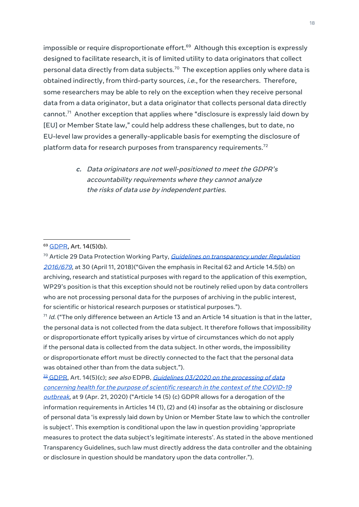impossible or require disproportionate effort. <sup>69</sup> Although this exception is expressly designed to facilitate research, it is of limited utility to data originators that collect personal data directly from data subjects. $^{\rm 70}$  The exception applies only where data is obtained indirectly, from third-party sources, i.e., for the researchers. Therefore, some researchers may be able to rely on the exception when they receive personal data from a data originator, but a data originator that collects personal data directly cannot. <sup>71</sup> Another exception that applies where "disclosure is expressly laid down by [EU] or Member State law," could help address these challenges, but to date, no EU-level law provides a generally-applicable basis for exempting the disclosure of platform data for research purposes from transparency requirements. $^{72}$ 

> <span id="page-22-0"></span>**c.** Data originators are not well-positioned to meet the GDPR's accountability requirements where they cannot analyze the risks of data use by independent parties.

 $^\text{71}$  Id. ("The only difference between an Article 13 and an Article 14 situation is that in the latter, the personal data is not collected from the data subject. It therefore follows that impossibility or disproportionate effort typically arises by virtue of circumstances which do not apply if the personal data is collected from the data subject. In other words, the impossibility or disproportionate effort must be directly connected to the fact that the personal data was obtained other than from the data subject.").

 $\frac{22}{3}$  [GDPR,](https://gdpr-info.eu/art-14-gdpr/) Art. 14(5)(c); see also EDPB, *Guidelines 03/2020 on the [processing](https://edpb.europa.eu/sites/edpb/files/files/file1/edpb_guidelines_202003_healthdatascientificresearchcovid19_en.pdf) of data* [concerning](https://edpb.europa.eu/sites/edpb/files/files/file1/edpb_guidelines_202003_healthdatascientificresearchcovid19_en.pdf) health for the purpose of scientific research in the context of the COVID-19 [outbreak](https://edpb.europa.eu/sites/edpb/files/files/file1/edpb_guidelines_202003_healthdatascientificresearchcovid19_en.pdf), at 9 (Apr. 21, 2020) ("Article 14 (5) (c) GDPR allows for a derogation of the information requirements in Articles 14 (1), (2) and (4) insofar as the obtaining or disclosure of personal data 'is expressly laid down by Union or Member State law to which the controller is subject'. This exemption is conditional upon the law in question providing 'appropriate measures to protect the data subject's legitimate interests'. As stated in the above mentioned Transparency Guidelines, such law must directly address the data controller and the obtaining or disclosure in question should be mandatory upon the data controller.").

<sup>69</sup> [GDPR,](https://gdpr-info.eu/art-14-gdpr/) Art. 14(5)(b).

<sup>&</sup>lt;sup>70</sup> Article 29 Data Protection Working Party, Guidelines on [transparency](https://ec.europa.eu/newsroom/article29/item-detail.cfm?item_id=622227) under Regulation [2016/679](https://ec.europa.eu/newsroom/article29/item-detail.cfm?item_id=622227), at 30 (April 11, 2018)("Given the emphasis in Recital 62 and Article 14.5(b) on archiving, research and statistical purposes with regard to the application of this exemption, WP29's position is that this exception should not be routinely relied upon by data controllers who are not processing personal data for the purposes of archiving in the public interest, for scientific or historical research purposes or statistical purposes.").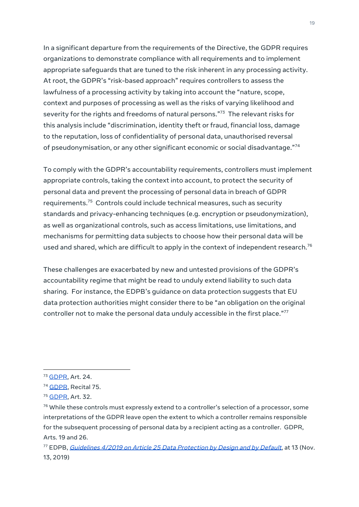In a significant departure from the requirements of the Directive, the GDPR requires organizations to demonstrate compliance with all requirements and to implement appropriate safeguards that are tuned to the risk inherent in any processing activity. At root, the GDPR's "risk-based approach" requires controllers to assess the lawfulness of a processing activity by taking into account the "nature, scope, context and purposes of processing as well as the risks of varying likelihood and severity for the rights and freedoms of natural persons." <sup>73</sup> The relevant risks for this analysis include "discrimination, identity theft or fraud, financial loss, damage to the reputation, loss of confidentiality of personal data, unauthorised reversal of pseudonymisation, or any other significant economic or social disadvantage." 74

To comply with the GDPR's accountability requirements, controllers must implement appropriate controls, taking the context into account, to protect the security of personal data and prevent the processing of personal data in breach of GDPR requirements. <sup>75</sup> Controls could include technical measures, such as security standards and privacy-enhancing techniques (e.g. encryption or pseudonymization), as well as organizational controls, such as access limitations, use limitations, and mechanisms for permitting data subjects to choose how their personal data will be used and shared, which are difficult to apply in the context of independent research. $^{\rm 76}$ 

These challenges are exacerbated by new and untested provisions of the GDPR's accountability regime that might be read to unduly extend liability to such data sharing. For instance, the EDPB's guidance on data protection suggests that EU data protection authorities might consider there to be "an obligation on the original controller not to make the personal data unduly accessible in the first place." $^{77}$ 

<sup>73</sup> **GDPR**, Art. 24.

<sup>&</sup>lt;sup>74</sup> [GDPR](https://gdpr-info.eu/recitals/no-75/), Recital 75.

<sup>75</sup> **GDPR**, Art. 32.

 $76$  While these controls must expressly extend to a controller's selection of a processor, some interpretations of the GDPR leave open the extent to which a controller remains responsible for the subsequent processing of personal data by a recipient acting as a controller. GDPR, Arts. 19 and 26.

<sup>&</sup>lt;sup>77</sup> EDPB, *[Guidelines](https://edpb.europa.eu/sites/edpb/files/consultation/edpb_guidelines_201904_dataprotection_by_design_and_by_default.pdf) 4/2019 on Article 25 Data Protection by Design and by Default*, at 13 (Nov. 13, 2019)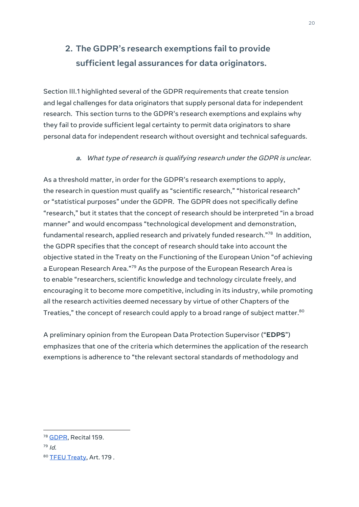# <span id="page-24-0"></span>**2. The GDPR's research exemptions fail to provide sufficient legal assurances for data originators.**

Section III.1 highlighted several of the GDPR requirements that create tension and legal challenges for data originators that supply personal data for independent research. This section turns to the GDPR's research exemptions and explains why they fail to provide sufficient legal certainty to permit data originators to share personal data for independent research without oversight and technical safeguards.

#### **a.** What type of research is qualifying research under the GDPR is unclear.

<span id="page-24-1"></span>As a threshold matter, in order for the GDPR's research exemptions to apply, the research in question must qualify as "scientific research," "historical research" or "statistical purposes" under the GDPR. The GDPR does not specifically define "research," but it states that the concept of research should be interpreted "in a broad manner" and would encompass "technological development and demonstration, fundamental research, applied research and privately funded research." 78 In addition, the GDPR specifies that the concept of research should take into account the objective stated in the Treaty on the Functioning of the European Union "of achieving a European Research Area."<sup>79</sup> As the purpose of the European Research Area is to enable "researchers, scientific knowledge and technology circulate freely, and encouraging it to become more competitive, including in its industry, while promoting all the research activities deemed necessary by virtue of other Chapters of the Treaties," the concept of research could apply to a broad range of subject matter. $^{\rm 80}$ 

A preliminary opinion from the European Data Protection Supervisor ("**EDPS**") emphasizes that one of the criteria which determines the application of the research exemptions is adherence to "the relevant sectoral standards of methodology and

<sup>78</sup> [GDPR](https://gdpr-info.eu/recitals/no-159/), Recital 159.

<sup>79</sup> Id.

<sup>80</sup> TEEU [Treaty](https://lexparency.org/eu/TFEU/ART_179/), Art. 179.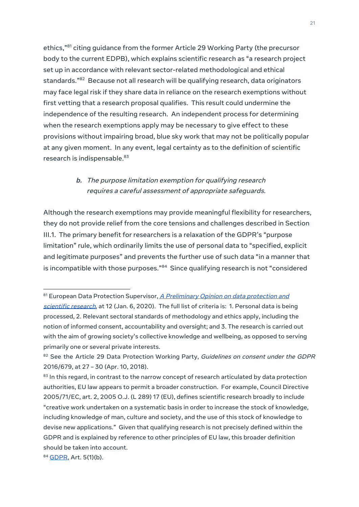ethics," <sup>81</sup> citing guidance from the former Article 29 Working Party (the precursor body to the current EDPB), which explains scientific research as "a research project set up in accordance with relevant sector-related methodological and ethical standards." <sup>82</sup> Because not all research will be qualifying research, data originators may face legal risk if they share data in reliance on the research exemptions without first vetting that a research proposal qualifies. This result could undermine the independence of the resulting research. An independent process for determining when the research exemptions apply may be necessary to give effect to these provisions without impairing broad, blue sky work that may not be politically popular at any given moment. In any event, legal certainty as to the definition of scientific research is indispensable. 83

#### <span id="page-25-0"></span>**b.** The purpose limitation exemption for qualifying research requires <sup>a</sup> careful assessment of appropriate safeguards.

Although the research exemptions may provide meaningful flexibility for researchers, they do not provide relief from the core tensions and challenges described in Section III.1. The primary benefit for researchers is a relaxation of the GDPR's "purpose limitation" rule, which ordinarily limits the use of personal data to "specified, explicit and legitimate purposes" and prevents the further use of such data "in a manner that is incompatible with those purposes."<sup>84</sup> Since qualifying research is not "considered

<sup>&</sup>lt;sup>81</sup> European Data Protection Supervisor, A [Preliminary](https://edps.europa.eu/sites/edp/files/publication/20-01-06_opinion_research_en.pdf) Opinion on data protection and [scientific](https://edps.europa.eu/sites/edp/files/publication/20-01-06_opinion_research_en.pdf) research, at 12 (Jan. 6, 2020). The full list of criteria is: 1. Personal data is being processed, 2. Relevant sectoral standards of methodology and ethics apply, including the notion of informed consent, accountability and oversight; and 3. The research is carried out with the aim of growing society's collective knowledge and wellbeing, as opposed to serving primarily one or several private interests.

<sup>&</sup>lt;sup>82</sup> See the Article 29 Data Protection Working Party, Guidelines on consent under the GDPR 2016/679, at 27 – 30 (Apr. 10, 2018).

 $^{\rm 83}$  In this regard, in contrast to the narrow concept of research articulated by data protection authorities, EU law appears to permit a broader construction. For example, Council Directive 2005/71/EC, art. 2, 2005 O.J. (L 289) 17 (EU), defines scientific research broadly to include "creative work undertaken on a systematic basis in order to increase the stock of knowledge, including knowledge of man, culture and society, and the use of this stock of knowledge to devise new applications." Given that qualifying research is not precisely defined within the GDPR and is explained by reference to other principles of EU law, this broader definition should be taken into account.

<sup>84</sup> [GDPR,](https://gdpr-info.eu/art-5-gdpr/) Art. 5(1)(b).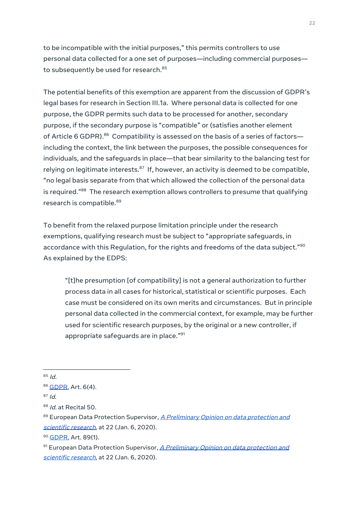to be incompatible with the initial purposes," this permits controllers to use personal data collected for a one set of purposes—including commercial purposes to subsequently be used for research. 85

The potential benefits of this exemption are apparent from the discussion of GDPR's legal bases for research in Section III.1a. Where personal data is collected for one purpose, the GDPR permits such data to be processed for another, secondary purpose, if the secondary purpose is "compatible" or (satisfies another element of Article 6 GDPR). $^{86}$  Compatibility is assessed on the basis of a series of factors including the context, the link between the purposes, the possible consequences for individuals, and the safeguards in place—that bear similarity to the balancing test for relying on legitimate interests.<sup>87</sup> If, however, an activity is deemed to be compatible, "no legal basis separate from that which allowed the collection of the personal data is required."<sup>88</sup> The research exemption allows controllers to presume that qualifying research is compatible. 89

To benefit from the relaxed purpose limitation principle under the research exemptions, qualifying research must be subject to "appropriate safeguards, in accordance with this Regulation, for the rights and freedoms of the data subject." $^{\rm 90}$ As explained by the EDPS:

"[t]he presumption [of compatibility] is not a general authorization to further process data in all cases for historical, statistical or scientific purposes. Each case must be considered on its own merits and circumstances. But in principle personal data collected in the commercial context, for example, may be further used for scientific research purposes, by the original or a new controller, if appropriate safeguards are in place." 91

<sup>&</sup>lt;sup>85</sup> Id.

<sup>86</sup> [GDPR,](https://gdpr-info.eu/art-6-gdpr/) Art. 6(4).

 $^{87}$  Id.

<sup>&</sup>lt;sup>88</sup> Id. at Recital 50.

<sup>89</sup> European Data Protection Supervisor, *A [Preliminary](https://edps.europa.eu/sites/edp/files/publication/20-01-06_opinion_research_en.pdf) Opinion on data protection and* [scientific](https://edps.europa.eu/sites/edp/files/publication/20-01-06_opinion_research_en.pdf) research, at 22 (Jan. 6, 2020).

<sup>90</sup> [GDPR,](https://gdpr-info.eu/art-89-gdpr/) Art. 89(1).

 $91$  European Data Protection Supervisor, A [Preliminary](https://edps.europa.eu/sites/edp/files/publication/20-01-06_opinion_research_en.pdf) Opinion on data protection and [scientific](https://edps.europa.eu/sites/edp/files/publication/20-01-06_opinion_research_en.pdf) research, at 22 (Jan. 6, 2020).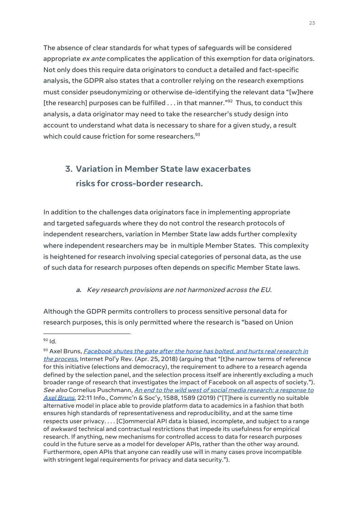The absence of clear standards for what types of safeguards will be considered appropriate ex ante complicates the application of this exemption for data originators. Not only does this require data originators to conduct a detailed and fact-specific analysis, the GDPR also states that a controller relying on the research exemptions must consider pseudonymizing or otherwise de-identifying the relevant data "[w]here [the research] purposes can be fulfilled . . . in that manner."<sup>92</sup> Thus, to conduct this analysis, a data originator may need to take the researcher's study design into account to understand what data is necessary to share for a given study, a result which could cause friction for some researchers. 93

# <span id="page-27-0"></span>**3. Variation in Member State law exacerbates risks for cross-border research.**

In addition to the challenges data originators face in implementing appropriate and targeted safeguards where they do not control the research protocols of independent researchers, variation in Member State law adds further complexity where independent researchers may be in multiple Member States. This complexity is heightened for research involving special categories of personal data, as the use of such data for research purposes often depends on specific Member State laws.

#### **a.** Key research provisions are not harmonized across the EU.

<span id="page-27-1"></span>Although the GDPR permits controllers to process sensitive personal data for research purposes, this is only permitted where the research is "based on Union

 $92$  Id.

<sup>&</sup>lt;sup>93</sup> Axel Bruns, *[Facebook](https://policyreview.info/articles/news/facebook-shuts-gate-after-horse-has-bolted-and-hurts-real-research-process/786) shutes the gate after the horse has bolted, and hurts real research in* the [process](https://policyreview.info/articles/news/facebook-shuts-gate-after-horse-has-bolted-and-hurts-real-research-process/786), Internet Pol'y Rev. (Apr. 25, 2018) (arguing that "[t]he narrow terms of reference for this initiative (elections and democracy), the requirement to adhere to a research agenda defined by the selection panel, and the selection process itself are inherently excluding a much broader range of research that investigates the impact of Facebook on all aspects of society."). See also Cornelius Puschmann, An end to the wild west of social media [research:](https://doi.org/10.1080/1369118X.2019.1646300) a response to Axel [Bruns](https://doi.org/10.1080/1369118X.2019.1646300), 22:11 Info., Commc'n & Soc'y, 1588, 1589 (2019) ("[T]here is currently no suitable alternative model in place able to provide platform data to academics in a fashion that both ensures high standards of representativeness and reproducibility, and at the same time respects user privacy. . . . [C]ommercial API data is biased, incomplete, and subject to a range of awkward technical and contractual restrictions that impede its usefulness for empirical research. If anything, new mechanisms for controlled access to data for research purposes could in the future serve as a model for developer APIs, rather than the other way around. Furthermore, open APIs that anyone can readily use will in many cases prove incompatible with stringent legal requirements for privacy and data security.").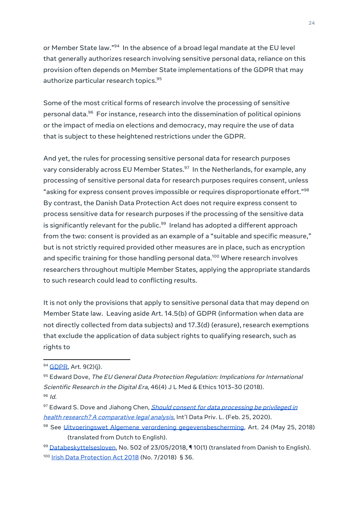or Member State law."<sup>94</sup> In the absence of a broad legal mandate at the EU level that generally authorizes research involving sensitive personal data, reliance on this provision often depends on Member State implementations of the GDPR that may authorize particular research topics. 95

Some of the most critical forms of research involve the processing of sensitive personal data. <sup>96</sup> For instance, research into the dissemination of political opinions or the impact of media on elections and democracy, may require the use of data that is subject to these heightened restrictions under the GDPR.

And yet, the rules for processing sensitive personal data for research purposes vary considerably across EU Member States. 97 In the Netherlands, for example, any processing of sensitive personal data for research purposes requires consent, unless "asking for express consent proves impossible or requires disproportionate effort." $^{\rm 98}$ By contrast, the Danish Data Protection Act does not require express consent to process sensitive data for research purposes if the processing of the sensitive data is significantly relevant for the public. $^{\textrm{\tiny{99}}}$  Ireland has adopted a different approach from the two: consent is provided as an example of a "suitable and specific measure," but is not strictly required provided other measures are in place, such as encryption and specific training for those handling personal data. <sup>100</sup> Where research involves researchers throughout multiple Member States, applying the appropriate standards to such research could lead to conflicting results.

It is not only the provisions that apply to sensitive personal data that may depend on Member State law. Leaving aside Art. 14.5(b) of GDPR (information when data are not directly collected from data subjects) and 17.3(d) (erasure), research exemptions that exclude the application of data subject rights to qualifying research, such as rights to

99 [Databeskyttelsesloven](https://www.retsinformation.dk/eli/lta/2018/502), No. 502 of 23/05/2018, 10(1) (translated from Danish to English). <sup>100</sup> Irish Data [Protection](http://www.justice.ie/en/JELR/Data_Protection_Act_2018.pdf/Files/Data_Protection_Act_2018.pdf) Act 2018 (No. 7/2018) § 36.

<sup>94</sup> **GDPR**, Art. 9(2)(j).

<sup>95</sup> Edward Dove, The EU General Data Protection Regulation: Implications for International Scientific Research in the Digital Era, 46(4) J L Med & Ethics 1013-30 (2018). <sup>96</sup> Id.

<sup>&</sup>lt;sup>97</sup> Edward S. Dove and Jiahong Chen, *Should consent for data [processing](https://doi.org/10.1093/idpl/ipz023) be privileged in* health research? A [comparative](https://doi.org/10.1093/idpl/ipz023) legal analysis, Int'l Data Priv. L. (Feb. 25, 2020).

<sup>98</sup> See Uitvoeringswet Algemene verordening [gegevensbescherming](https://wetten.overheid.nl/BWBR0040940/2018-05-25#Hoofdstuk3), Art. 24 (May 25, 2018) (translated from Dutch to English).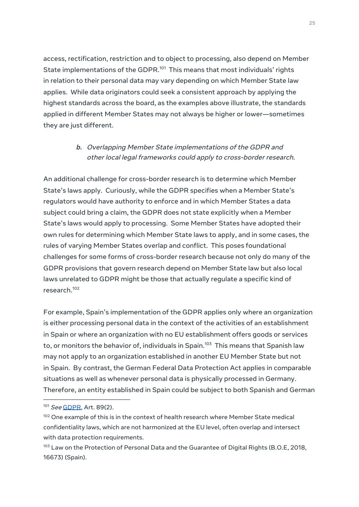access, rectification, restriction and to object to processing, also depend on Member State implementations of the GDPR. $^{101}$  This means that most individuals' rights in relation to their personal data may vary depending on which Member State law applies. While data originators could seek a consistent approach by applying the highest standards across the board, as the examples above illustrate, the standards applied in different Member States may not always be higher or lower—sometimes they are just different.

#### <span id="page-29-0"></span>**b.** Overlapping Member State implementations of the GDPR and other local legal frameworks could apply to cross-border research.

An additional challenge for cross-border research is to determine which Member State's laws apply. Curiously, while the GDPR specifies when a Member State's regulators would have authority to enforce and in which Member States a data subject could bring a claim, the GDPR does not state explicitly when a Member State's laws would apply to processing. Some Member States have adopted their own rules for determining which Member State laws to apply, and in some cases, the rules of varying Member States overlap and conflict. This poses foundational challenges for some forms of cross-border research because not only do many of the GDPR provisions that govern research depend on Member State law but also local laws unrelated to GDPR might be those that actually regulate a specific kind of research. 102

For example, Spain's implementation of the GDPR applies only where an organization is either processing personal data in the context of the activities of an establishment in Spain or where an organization with no EU establishment offers goods or services to, or monitors the behavior of, individuals in Spain. <sup>103</sup> This means that Spanish law may not apply to an organization established in another EU Member State but not in Spain. By contrast, the German Federal Data Protection Act applies in comparable situations as well as whenever personal data is physically processed in Germany. Therefore, an entity established in Spain could be subject to both Spanish and German

<sup>101</sup> See [GDPR](https://gdpr-info.eu/art-89-gdpr/), Art. 89(2).

<sup>&</sup>lt;sup>102</sup> One example of this is in the context of health research where Member State medical confidentiality laws, which are not harmonized at the EU level, often overlap and intersect with data protection requirements.

<sup>&</sup>lt;sup>103</sup> Law on the Protection of Personal Data and the Guarantee of Digital Rights (B.O.E, 2018, 16673) (Spain).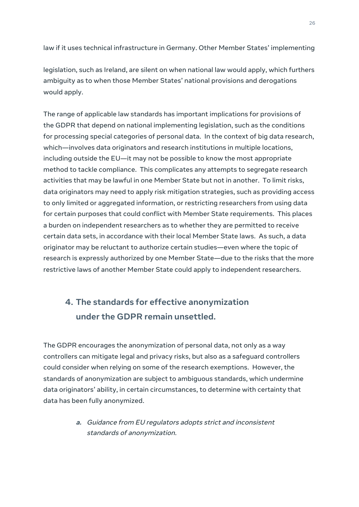law if it uses technical infrastructure in Germany. Other Member States' implementing

legislation, such as Ireland, are silent on when national law would apply, which furthers ambiguity as to when those Member States' national provisions and derogations would apply.

The range of applicable law standards has important implications for provisions of the GDPR that depend on national implementing legislation, such as the conditions for processing special categories of personal data. In the context of big data research, which—involves data originators and research institutions in multiple locations, including outside the EU—it may not be possible to know the most appropriate method to tackle compliance. This complicates any attempts to segregate research activities that may be lawful in one Member State but not in another. To limit risks, data originators may need to apply risk mitigation strategies, such as providing access to only limited or aggregated information, or restricting researchers from using data for certain purposes that could conflict with Member State requirements. This places a burden on independent researchers as to whether they are permitted to receive certain data sets, in accordance with their local Member State laws. As such, a data originator may be reluctant to authorize certain studies—even where the topic of research is expressly authorized by one Member State—due to the risks that the more restrictive laws of another Member State could apply to independent researchers.

# <span id="page-30-0"></span>**4. The standards for effective anonymization under the GDPR remain unsettled.**

The GDPR encourages the anonymization of personal data, not only as a way controllers can mitigate legal and privacy risks, but also as a safeguard controllers could consider when relying on some of the research exemptions. However, the standards of anonymization are subject to ambiguous standards, which undermine data originators' ability, in certain circumstances, to determine with certainty that data has been fully anonymized.

> <span id="page-30-1"></span>**a.** Guidance from EU regulators adopts strict and inconsistent standards of anonymization.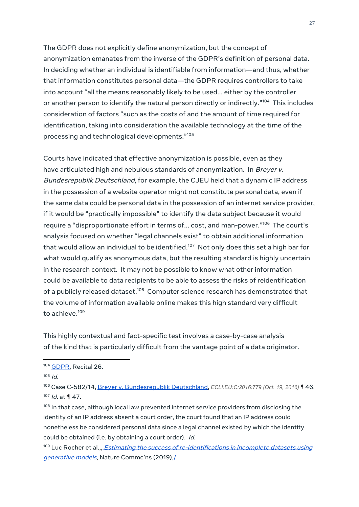The GDPR does not explicitly define anonymization, but the concept of anonymization emanates from the inverse of the GDPR's definition of personal data. In deciding whether an individual is identifiable from information—and thus, whether that information constitutes personal data—the GDPR requires controllers to take into account "all the means reasonably likely to be used... either by the controller or another person to identify the natural person directly or indirectly." <sup>104</sup> This includes consideration of factors "such as the costs of and the amount of time required for identification, taking into consideration the available technology at the time of the processing and technological developments." 105

Courts have indicated that effective anonymization is possible, even as they have articulated high and nebulous standards of anonymization. In Breyer v. Bundesrepublik Deutschland, for example, the CJEU held that a dynamic IP address in the possession of a website operator might not constitute personal data, even if the same data could be personal data in the possession of an internet service provider, if it would be "practically impossible" to identify the data subject because it would require a "disproportionate effort in terms of… cost, and man-power."<sup>106</sup> The court's analysis focused on whether "legal channels exist" to obtain additional information that would allow an individual to be identified.<sup>107</sup> Not only does this set a high bar for what would qualify as anonymous data, but the resulting standard is highly uncertain in the research context. It may not be possible to know what other information could be available to data recipients to be able to assess the risks of reidentification of a publicly released dataset.<sup>108</sup> Computer science research has demonstrated that the volume of information available online makes this high standard very difficult to achieve. 109

This highly contextual and fact-specific test involves a case-by-case analysis of the kind that is particularly difficult from the vantage point of a data originator.

<sup>&</sup>lt;sup>104</sup> [GDPR,](https://gdpr-info.eu/recitals/no-26/) Recital 26.

 $105$  Id.

<sup>106</sup> Case C-582/14, Breyer v. [Bundesrepublik](http://curia.europa.eu/juris/document/document.jsf?docid=184668&doclang=EN) Deutschland, *ECLI:EU:C:2016:779 (Oct. 19, 2016)* ¶ 46. <sup>107</sup> *Id.* at ¶ 47.

 $^{108}$  In that case, although local law prevented internet service providers from disclosing the identity of an IP address absent a court order, the court found that an IP address could nonetheless be considered personal data since a legal channel existed by which the identity could be obtained (i.e. by obtaining a court order). Id.

<sup>&</sup>lt;sup>109</sup> Luc Rocher et al.[,](https://www.nature.com/articles/s41467-019-10933-3)<u>, *Estimating the success of [re-identifications](https://www.nature.com/articles/s41467-019-10933-3) in incomplete datasets using*</u> [generative](https://www.nature.com/articles/s41467-019-10933-3) models, Nature Commc'ns (2019), L.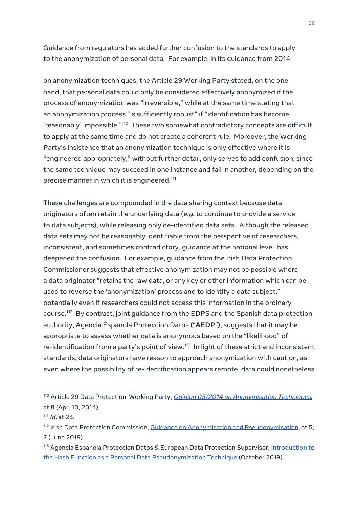Guidance from regulators has added further confusion to the standards to apply to the anonymization of personal data. For example, in its guidance from 2014

on anonymization techniques, the Article 29 Working Party stated, on the one hand, that personal data could only be considered effectively anonymized if the process of anonymization was "irreversible," while at the same time stating that an anonymization process "is sufficiently robust" if "identification has become 'reasonably' impossible."<sup>110</sup> These two somewhat contradictory concepts are difficult to apply at the same time and do not create a coherent rule. Moreover, the Working Party's insistence that an anonymization technique is only effective where it is "engineered appropriately," without further detail, only serves to add confusion, since the same technique may succeed in one instance and fail in another, depending on the precise manner in which it is engineered. 111

These challenges are compounded in the data sharing context because data originators often retain the underlying data ( $e.g.$  to continue to provide a service to data subjects), while releasing only de-identified data sets. Although the released data sets may not be reasonably identifiable from the perspective of researchers, inconsistent, and sometimes contradictory, guidance at the national level has deepened the confusion. For example, guidance from the Irish Data Protection Commissioner suggests that effective anonymization may not be possible where a data originator "retains the raw data, or any key or other information which can be used to reverse the 'anonymization' process and to identify a data subject," potentially even if researchers could not access this information in the ordinary course. <sup>112</sup> By contrast, joint guidance from the EDPS and the Spanish data protection authority, Agencia Espanola Proteccion Datos ("**AEDP**"), suggests that it may be appropriate to assess whether data is anonymous based on the "likelihood" of re-identification from a party's point of view. 113 In light of these strict and inconsistent standards, data originators have reason to approach anonymization with caution, as even where the possibility of re-identification appears remote, data could nonetheless

<sup>&</sup>lt;sup>110</sup> Article 29 Data Protection Working Party, Opinion 05/2014 on [Anonymisation](https://ec.europa.eu/justice/article-29/documentation/opinion-recommendation/files/2014/wp216_en.pdf) Techniques, at 8 (Apr. 10, 2014).

<sup>&</sup>lt;sup>111</sup> *Id.* at 23.

<sup>&</sup>lt;sup>112</sup> Irish Data Protection Commission, <u>Guidance on Anonymisation and [Pseudonymisation](https://www.dataprotection.ie/sites/default/files/uploads/2019-06/190614%20Anonymisation%20and%20Pseudonymisation.pdf)</u>, at 5, 7 (June 2019).

<sup>&</sup>lt;sup>113</sup> Agencia Espanola Proteccion Datos & European Data Protection Supervisor, [Introduction](https://edps.europa.eu/sites/edp/files/publication/19-10-30_aepd-edps_paper_hash_final_en.pdf) to the Hash Function as a Personal Data [Pseudonymization](https://edps.europa.eu/sites/edp/files/publication/19-10-30_aepd-edps_paper_hash_final_en.pdf) Technique (October 2019).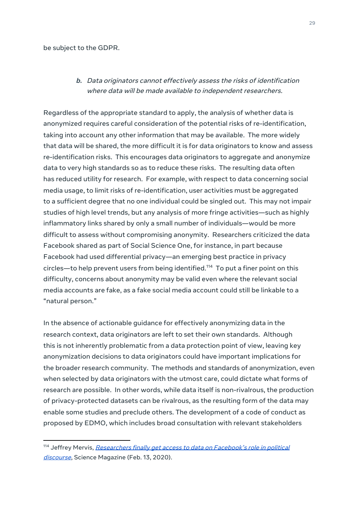#### <span id="page-33-0"></span>be subject to the GDPR.

#### **b.** Data originators cannot effectively assess the risks of identification where data will be made available to independent researchers.

Regardless of the appropriate standard to apply, the analysis of whether data is anonymized requires careful consideration of the potential risks of re-identification, taking into account any other information that may be available. The more widely that data will be shared, the more difficult it is for data originators to know and assess re-identification risks. This encourages data originators to aggregate and anonymize data to very high standards so as to reduce these risks. The resulting data often has reduced utility for research. For example, with respect to data concerning social media usage, to limit risks of re-identification, user activities must be aggregated to a sufficient degree that no one individual could be singled out. This may not impair studies of high level trends, but any analysis of more fringe activities—such as highly inflammatory links shared by only a small number of individuals—would be more difficult to assess without compromising anonymity. Researchers criticized the data Facebook shared as part of Social Science One, for instance, in part because Facebook had used differential privacy—an emerging best practice in privacy circles—to help prevent users from being identified. <sup>114</sup> To put a finer point on this difficulty, concerns about anonymity may be valid even where the relevant social media accounts are fake, as a fake social media account could still be linkable to a "natural person."

In the absence of actionable guidance for effectively anonymizing data in the research context, data originators are left to set their own standards. Although this is not inherently problematic from a data protection point of view, leaving key anonymization decisions to data originators could have important implications for the broader research community. The methods and standards of anonymization, even when selected by data originators with the utmost care, could dictate what forms of research are possible. In other words, while data itself is non-rivalrous, the production of privacy-protected datasets can be rivalrous, as the resulting form of the data may enable some studies and preclude others. The development of a code of conduct as proposed by EDMO, which includes broad consultation with relevant stakeholders

<sup>&</sup>lt;sup>114</sup> Jeffrey Mervis, [Researchers](https://www.sciencemag.org/news/2020/02/researchers-finally-get-access-data-facebook-s-role-political-discourse) finally get access to data on Facebook's role in political [discourse](https://www.sciencemag.org/news/2020/02/researchers-finally-get-access-data-facebook-s-role-political-discourse), Science Magazine (Feb. 13, 2020).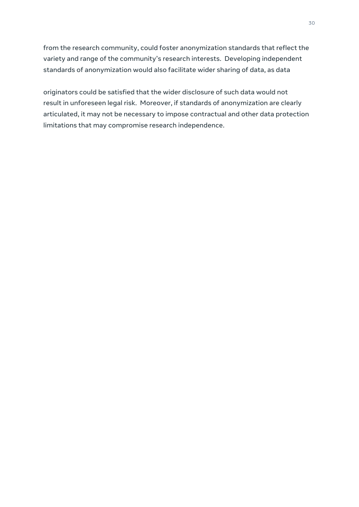from the research community, could foster anonymization standards that reflect the variety and range of the community's research interests. Developing independent standards of anonymization would also facilitate wider sharing of data, as data

originators could be satisfied that the wider disclosure of such data would not result in unforeseen legal risk. Moreover, if standards of anonymization are clearly articulated, it may not be necessary to impose contractual and other data protection limitations that may compromise research independence.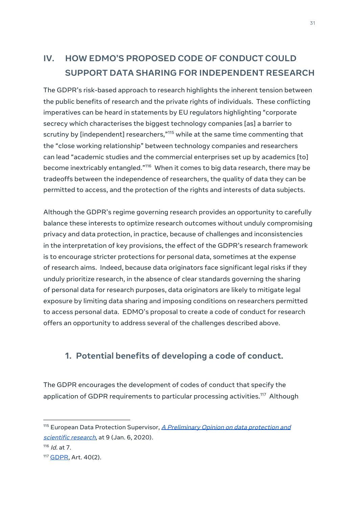# <span id="page-35-0"></span>**IV. HOW EDMO'S PROPOSED CODE OF CONDUCT COULD SUPPORT DATA SHARING FOR INDEPENDENT RESEARCH**

The GDPR's risk-based approach to research highlights the inherent tension between the public benefits of research and the private rights of individuals. These conflicting imperatives can be heard in statements by EU regulators highlighting "corporate secrecy which characterises the biggest technology companies [as] a barrier to scrutiny by [independent] researchers," $^{\rm 115}$  while at the same time commenting that the "close working relationship" between technology companies and researchers can lead "academic studies and the commercial enterprises set up by academics [to] become inextricably entangled."<sup>116</sup> When it comes to big data research, there may be tradeoffs between the independence of researchers, the quality of data they can be permitted to access, and the protection of the rights and interests of data subjects.

Although the GDPR's regime governing research provides an opportunity to carefully balance these interests to optimize research outcomes without unduly compromising privacy and data protection, in practice, because of challenges and inconsistencies in the interpretation of key provisions, the effect of the GDPR's research framework is to encourage stricter protections for personal data, sometimes at the expense of research aims. Indeed, because data originators face significant legal risks if they unduly prioritize research, in the absence of clear standards governing the sharing of personal data for research purposes, data originators are likely to mitigate legal exposure by limiting data sharing and imposing conditions on researchers permitted to access personal data. EDMO's proposal to create a code of conduct for research offers an opportunity to address several of the challenges described above.

#### <span id="page-35-1"></span>**1. Potential benefits of developing a code of conduct.**

The GDPR encourages the development of codes of conduct that specify the application of GDPR requirements to particular processing activities.<sup>117</sup> Although

<sup>&</sup>lt;sup>115</sup> European Data Protection Supervisor, A [Preliminary](https://edps.europa.eu/sites/edp/files/publication/20-01-06_opinion_research_en.pdf) Opinion on data protection and [scientific](https://edps.europa.eu/sites/edp/files/publication/20-01-06_opinion_research_en.pdf) research, at 9 (Jan. 6, 2020).

<sup>&</sup>lt;sup>116</sup> *Id.* at 7.

<sup>117</sup> **[GDPR](https://gdpr-info.eu/art-40-gdpr/)**, Art. 40(2).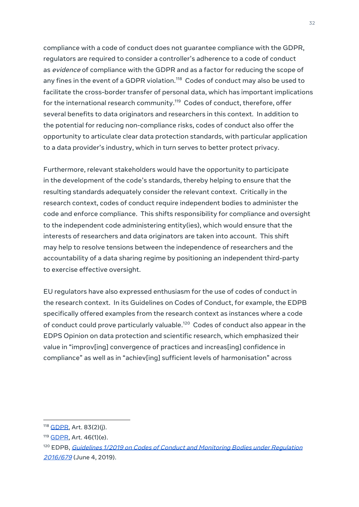compliance with a code of conduct does not guarantee compliance with the GDPR, regulators are required to consider a controller's adherence to a code of conduct as evidence of compliance with the GDPR and as a factor for reducing the scope of any fines in the event of a GDPR violation.<sup>118</sup> Codes of conduct may also be used to facilitate the cross-border transfer of personal data, which has important implications for the international research community. <sup>119</sup> Codes of conduct, therefore, offer several benefits to data originators and researchers in this context. In addition to the potential for reducing non-compliance risks, codes of conduct also offer the opportunity to articulate clear data protection standards, with particular application to a data provider's industry, which in turn serves to better protect privacy.

Furthermore, relevant stakeholders would have the opportunity to participate in the development of the code's standards, thereby helping to ensure that the resulting standards adequately consider the relevant context. Critically in the research context, codes of conduct require independent bodies to administer the code and enforce compliance. This shifts responsibility for compliance and oversight to the independent code administering entity(ies), which would ensure that the interests of researchers and data originators are taken into account. This shift may help to resolve tensions between the independence of researchers and the accountability of a data sharing regime by positioning an independent third-party to exercise effective oversight.

EU regulators have also expressed enthusiasm for the use of codes of conduct in the research context. In its Guidelines on Codes of Conduct, for example, the EDPB specifically offered examples from the research context as instances where a code of conduct could prove particularly valuable.<sup>120</sup> Codes of conduct also appear in the EDPS Opinion on data protection and scientific research, which emphasized their value in "improv[ing] convergence of practices and increas[ing] confidence in compliance" as well as in "achiev[ing] sufficient levels of harmonisation" across

<sup>118</sup> [GDPR](https://gdpr-info.eu/art-83-gdpr/), Art. 83(2)(j).

<sup>119</sup> [GDPR,](https://gdpr-info.eu/art-46-gdpr/) Art. 46(1)(e).

<sup>&</sup>lt;sup>120</sup> EDPB, Guidelines 1/2019 on Codes of Conduct and [Monitoring](https://edpb.europa.eu/sites/edpb/files/files/file1/edpb_guidelines_201901_v2.0_codesofconduct_en.pdf) Bodies under Regulation [2016/679](https://edpb.europa.eu/sites/edpb/files/files/file1/edpb_guidelines_201901_v2.0_codesofconduct_en.pdf) (June 4, 2019).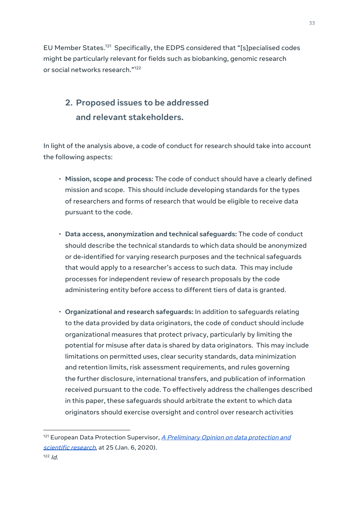EU Member States. <sup>121</sup> Specifically, the EDPS considered that "[s]pecialised codes might be particularly relevant for fields such as biobanking, genomic research or social networks research." 122

# <span id="page-37-0"></span>**2. Proposed issues to be addressed and relevant stakeholders.**

In light of the analysis above, a code of conduct for research should take into account the following aspects:

- **Mission, scope and process:** The code of conduct should have a clearly defined mission and scope. This should include developing standards for the types of researchers and forms of research that would be eligible to receive data pursuant to the code.
- **Data access, anonymization and technical safeguards:** The code of conduct should describe the technical standards to which data should be anonymized or de-identified for varying research purposes and the technical safeguards that would apply to a researcher's access to such data. This may include processes for independent review of research proposals by the code administering entity before access to different tiers of data is granted.
- **Organizational and research safeguards:** In addition to safeguards relating to the data provided by data originators, the code of conduct should include organizational measures that protect privacy, particularly by limiting the potential for misuse after data is shared by data originators. This may include limitations on permitted uses, clear security standards, data minimization and retention limits, risk assessment requirements, and rules governing the further disclosure, international transfers, and publication of information received pursuant to the code. To effectively address the challenges described in this paper, these safeguards should arbitrate the extent to which data originators should exercise oversight and control over research activities

33

 $121$  European Data Protection Supervisor,  $\triangle$  [Preliminary](https://edps.europa.eu/sites/edp/files/publication/20-01-06_opinion_research_en.pdf) Opinion on data protection and [scientific](https://edps.europa.eu/sites/edp/files/publication/20-01-06_opinion_research_en.pdf) research, at 25 (Jan. 6, 2020).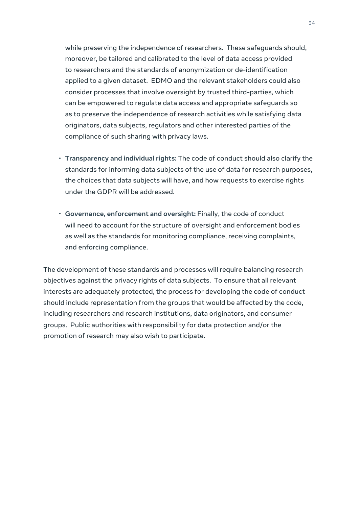while preserving the independence of researchers. These safeguards should, moreover, be tailored and calibrated to the level of data access provided to researchers and the standards of anonymization or de-identification applied to a given dataset. EDMO and the relevant stakeholders could also consider processes that involve oversight by trusted third-parties, which can be empowered to regulate data access and appropriate safeguards so as to preserve the independence of research activities while satisfying data originators, data subjects, regulators and other interested parties of the compliance of such sharing with privacy laws.

- **Transparency and individual rights:** The code of conduct should also clarify the standards for informing data subjects of the use of data for research purposes, the choices that data subjects will have, and how requests to exercise rights under the GDPR will be addressed.
- **Governance, enforcement and oversight:** Finally, the code of conduct will need to account for the structure of oversight and enforcement bodies as well as the standards for monitoring compliance, receiving complaints, and enforcing compliance.

The development of these standards and processes will require balancing research objectives against the privacy rights of data subjects. To ensure that all relevant interests are adequately protected, the process for developing the code of conduct should include representation from the groups that would be affected by the code, including researchers and research institutions, data originators, and consumer groups. Public authorities with responsibility for data protection and/or the promotion of research may also wish to participate.